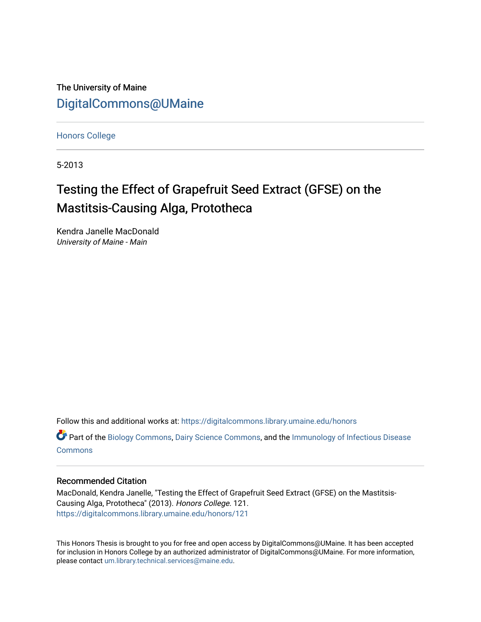The University of Maine [DigitalCommons@UMaine](https://digitalcommons.library.umaine.edu/)

[Honors College](https://digitalcommons.library.umaine.edu/honors)

5-2013

# Testing the Effect of Grapefruit Seed Extract (GFSE) on the Mastitsis-Causing Alga, Prototheca

Kendra Janelle MacDonald University of Maine - Main

Follow this and additional works at: [https://digitalcommons.library.umaine.edu/honors](https://digitalcommons.library.umaine.edu/honors?utm_source=digitalcommons.library.umaine.edu%2Fhonors%2F121&utm_medium=PDF&utm_campaign=PDFCoverPages) 

Part of the [Biology Commons,](http://network.bepress.com/hgg/discipline/41?utm_source=digitalcommons.library.umaine.edu%2Fhonors%2F121&utm_medium=PDF&utm_campaign=PDFCoverPages) [Dairy Science Commons,](http://network.bepress.com/hgg/discipline/79?utm_source=digitalcommons.library.umaine.edu%2Fhonors%2F121&utm_medium=PDF&utm_campaign=PDFCoverPages) and the [Immunology of Infectious Disease](http://network.bepress.com/hgg/discipline/35?utm_source=digitalcommons.library.umaine.edu%2Fhonors%2F121&utm_medium=PDF&utm_campaign=PDFCoverPages) **[Commons](http://network.bepress.com/hgg/discipline/35?utm_source=digitalcommons.library.umaine.edu%2Fhonors%2F121&utm_medium=PDF&utm_campaign=PDFCoverPages)** 

#### Recommended Citation

MacDonald, Kendra Janelle, "Testing the Effect of Grapefruit Seed Extract (GFSE) on the Mastitsis-Causing Alga, Prototheca" (2013). Honors College. 121. [https://digitalcommons.library.umaine.edu/honors/121](https://digitalcommons.library.umaine.edu/honors/121?utm_source=digitalcommons.library.umaine.edu%2Fhonors%2F121&utm_medium=PDF&utm_campaign=PDFCoverPages) 

This Honors Thesis is brought to you for free and open access by DigitalCommons@UMaine. It has been accepted for inclusion in Honors College by an authorized administrator of DigitalCommons@UMaine. For more information, please contact [um.library.technical.services@maine.edu.](mailto:um.library.technical.services@maine.edu)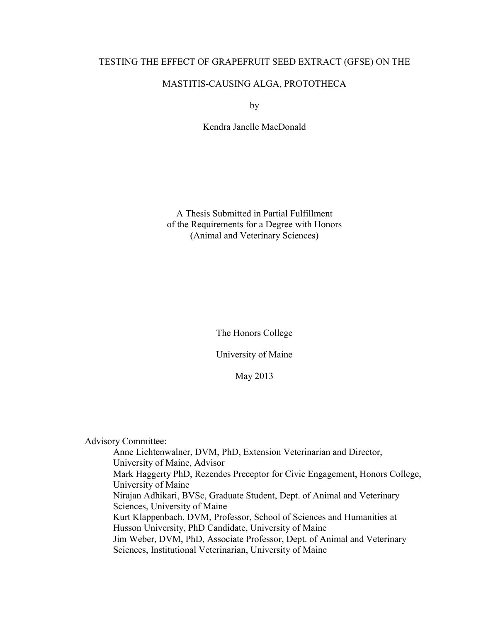## TESTING THE EFFECT OF GRAPEFRUIT SEED EXTRACT (GFSE) ON THE

## MASTITIS-CAUSING ALGA, PROTOTHECA

by

Kendra Janelle MacDonald

A Thesis Submitted in Partial Fulfillment of the Requirements for a Degree with Honors (Animal and Veterinary Sciences)

The Honors College

University of Maine

May 2013

Advisory Committee:

 Anne Lichtenwalner, DVM, PhD, Extension Veterinarian and Director, University of Maine, Advisor Mark Haggerty PhD, Rezendes Preceptor for Civic Engagement, Honors College, University of Maine Nirajan Adhikari, BVSc, Graduate Student, Dept. of Animal and Veterinary Sciences, University of Maine Kurt Klappenbach, DVM, Professor, School of Sciences and Humanities at Husson University, PhD Candidate, University of Maine Jim Weber, DVM, PhD, Associate Professor, Dept. of Animal and Veterinary Sciences, Institutional Veterinarian, University of Maine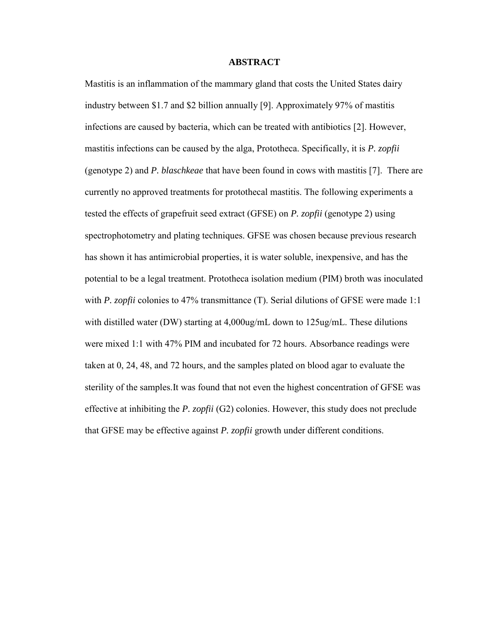#### **ABSTRACT**

Mastitis is an inflammation of the mammary gland that costs the United States dairy industry between \$1.7 and \$2 billion annually [9]. Approximately 97% of mastitis infections are caused by bacteria, which can be treated with antibiotics [2]. However, mastitis infections can be caused by the alga, Prototheca. Specifically, it is *P. zopfii* (genotype 2) and *P. blaschkeae* that have been found in cows with mastitis [7]. There are currently no approved treatments for protothecal mastitis. The following experiments a tested the effects of grapefruit seed extract (GFSE) on *P. zopfii* (genotype 2) using spectrophotometry and plating techniques. GFSE was chosen because previous research has shown it has antimicrobial properties, it is water soluble, inexpensive, and has the potential to be a legal treatment. Prototheca isolation medium (PIM) broth was inoculated with *P. zopfii* colonies to 47% transmittance (T). Serial dilutions of GFSE were made 1:1 with distilled water (DW) starting at 4,000ug/mL down to 125ug/mL. These dilutions were mixed 1:1 with 47% PIM and incubated for 72 hours. Absorbance readings were taken at 0, 24, 48, and 72 hours, and the samples plated on blood agar to evaluate the sterility of the samples.It was found that not even the highest concentration of GFSE was effective at inhibiting the *P. zopfii* (G2) colonies. However, this study does not preclude that GFSE may be effective against *P. zopfii* growth under different conditions.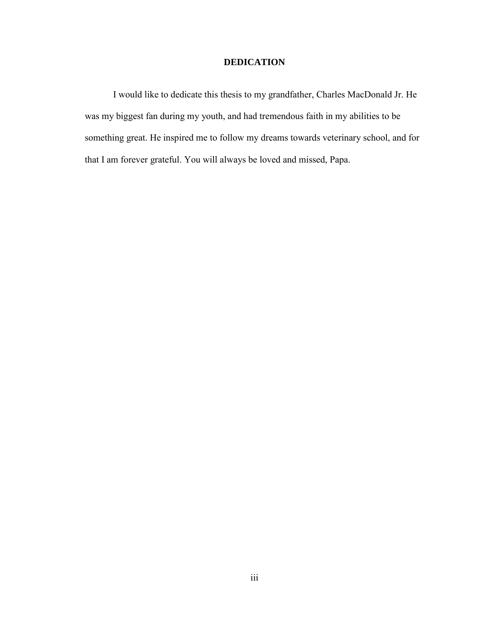## **DEDICATION**

I would like to dedicate this thesis to my grandfather, Charles MacDonald Jr. He was my biggest fan during my youth, and had tremendous faith in my abilities to be something great. He inspired me to follow my dreams towards veterinary school, and for that I am forever grateful. You will always be loved and missed, Papa.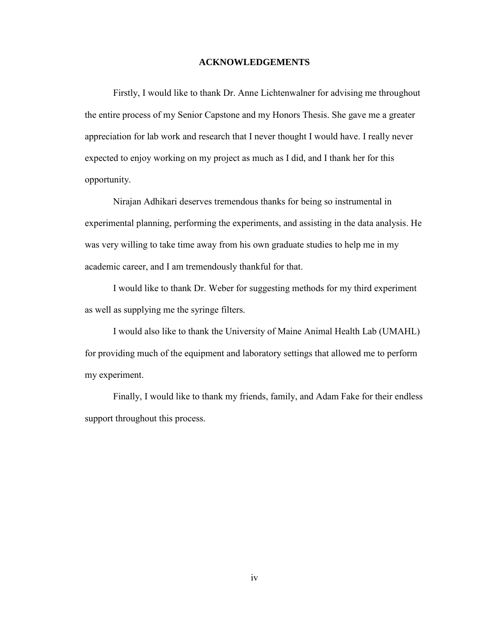#### **ACKNOWLEDGEMENTS**

Firstly, I would like to thank Dr. Anne Lichtenwalner for advising me throughout the entire process of my Senior Capstone and my Honors Thesis. She gave me a greater appreciation for lab work and research that I never thought I would have. I really never expected to enjoy working on my project as much as I did, and I thank her for this opportunity.

Nirajan Adhikari deserves tremendous thanks for being so instrumental in experimental planning, performing the experiments, and assisting in the data analysis. He was very willing to take time away from his own graduate studies to help me in my academic career, and I am tremendously thankful for that.

I would like to thank Dr. Weber for suggesting methods for my third experiment as well as supplying me the syringe filters.

I would also like to thank the University of Maine Animal Health Lab (UMAHL) for providing much of the equipment and laboratory settings that allowed me to perform my experiment.

Finally, I would like to thank my friends, family, and Adam Fake for their endless support throughout this process.

iv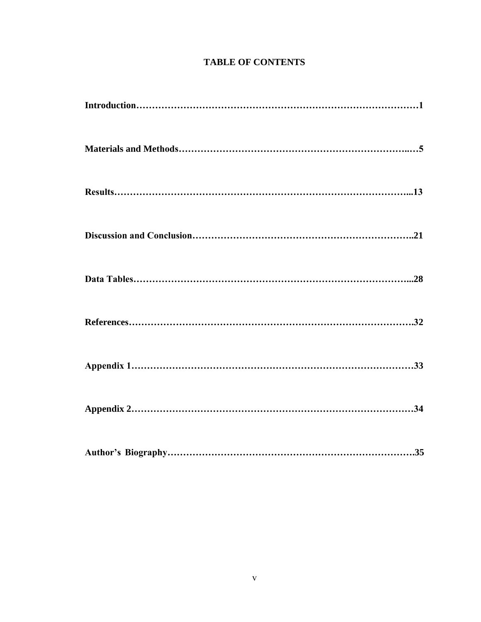# **TABLE OF CONTENTS**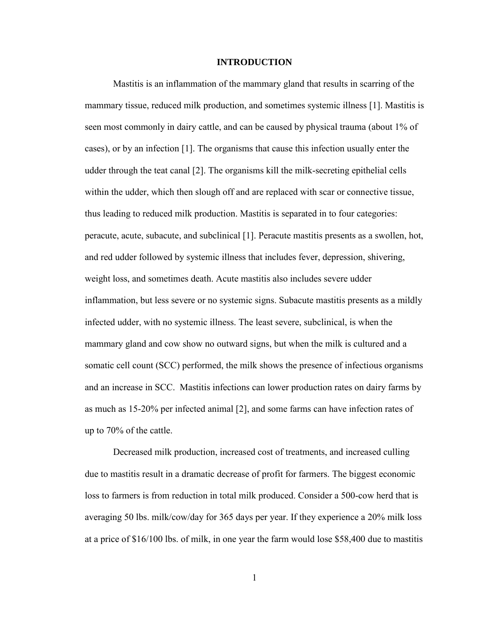#### **INTRODUCTION**

Mastitis is an inflammation of the mammary gland that results in scarring of the mammary tissue, reduced milk production, and sometimes systemic illness [1]. Mastitis is seen most commonly in dairy cattle, and can be caused by physical trauma (about 1% of cases), or by an infection [1]. The organisms that cause this infection usually enter the udder through the teat canal [2]. The organisms kill the milk-secreting epithelial cells within the udder, which then slough off and are replaced with scar or connective tissue, thus leading to reduced milk production. Mastitis is separated in to four categories: peracute, acute, subacute, and subclinical [1]. Peracute mastitis presents as a swollen, hot, and red udder followed by systemic illness that includes fever, depression, shivering, weight loss, and sometimes death. Acute mastitis also includes severe udder inflammation, but less severe or no systemic signs. Subacute mastitis presents as a mildly infected udder, with no systemic illness. The least severe, subclinical, is when the mammary gland and cow show no outward signs, but when the milk is cultured and a somatic cell count (SCC) performed, the milk shows the presence of infectious organisms and an increase in SCC. Mastitis infections can lower production rates on dairy farms by as much as 15-20% per infected animal [2], and some farms can have infection rates of up to 70% of the cattle.

Decreased milk production, increased cost of treatments, and increased culling due to mastitis result in a dramatic decrease of profit for farmers. The biggest economic loss to farmers is from reduction in total milk produced. Consider a 500-cow herd that is averaging 50 lbs. milk/cow/day for 365 days per year. If they experience a 20% milk loss at a price of \$16/100 lbs. of milk, in one year the farm would lose \$58,400 due to mastitis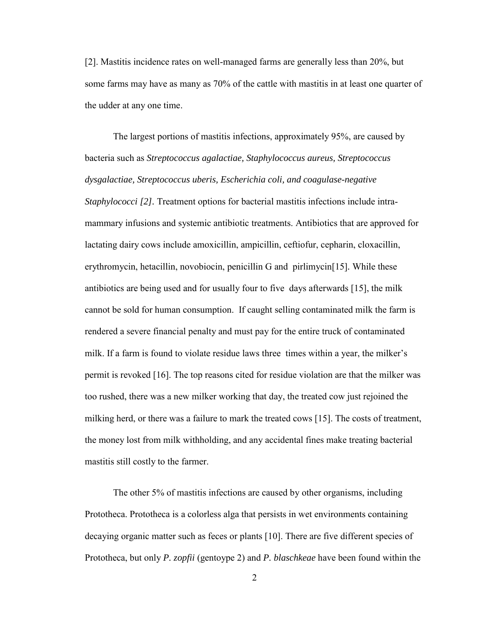[2]. Mastitis incidence rates on well-managed farms are generally less than 20%, but some farms may have as many as 70% of the cattle with mastitis in at least one quarter of the udder at any one time.

The largest portions of mastitis infections, approximately 95%, are caused by bacteria such as *Streptococcus agalactiae, Staphylococcus aureus, Streptococcus dysgalactiae, Streptococcus uberis, Escherichia coli, and coagulase-negative Staphylococci [2].* Treatment options for bacterial mastitis infections include intramammary infusions and systemic antibiotic treatments. Antibiotics that are approved for lactating dairy cows include amoxicillin, ampicillin, ceftiofur, cepharin, cloxacillin, erythromycin, hetacillin, novobiocin, penicillin G and pirlimycin[15]*.* While these antibiotics are being used and for usually four to five days afterwards [15], the milk cannot be sold for human consumption. If caught selling contaminated milk the farm is rendered a severe financial penalty and must pay for the entire truck of contaminated milk. If a farm is found to violate residue laws three times within a year, the milker's permit is revoked [16]. The top reasons cited for residue violation are that the milker was too rushed, there was a new milker working that day, the treated cow just rejoined the milking herd, or there was a failure to mark the treated cows [15]. The costs of treatment, the money lost from milk withholding, and any accidental fines make treating bacterial mastitis still costly to the farmer.

The other 5% of mastitis infections are caused by other organisms, including Prototheca. Prototheca is a colorless alga that persists in wet environments containing decaying organic matter such as feces or plants [10]. There are five different species of Prototheca, but only *P. zopfii* (gentoype 2) and *P. blaschkeae* have been found within the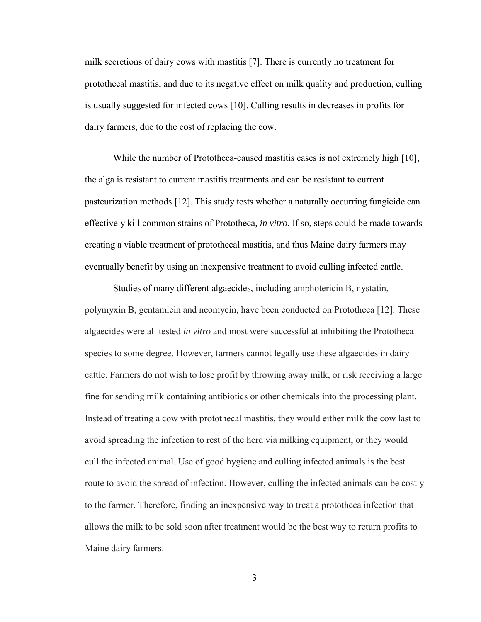milk secretions of dairy cows with mastitis [7]. There is currently no treatment for protothecal mastitis, and due to its negative effect on milk quality and production, culling is usually suggested for infected cows [10]. Culling results in decreases in profits for dairy farmers, due to the cost of replacing the cow.

While the number of Prototheca-caused mastitis cases is not extremely high [10], the alga is resistant to current mastitis treatments and can be resistant to current pasteurization methods [12]. This study tests whether a naturally occurring fungicide can effectively kill common strains of Prototheca*, in vitro.* If so, steps could be made towards creating a viable treatment of protothecal mastitis, and thus Maine dairy farmers may eventually benefit by using an inexpensive treatment to avoid culling infected cattle.

Studies of many different algaecides*,* including amphotericin B, nystatin, polymyxin B, gentamicin and neomycin, have been conducted on Prototheca [12]. These algaecides were all tested *in vitro* and most were successful at inhibiting the Prototheca species to some degree. However, farmers cannot legally use these algaecides in dairy cattle. Farmers do not wish to lose profit by throwing away milk, or risk receiving a large fine for sending milk containing antibiotics or other chemicals into the processing plant. Instead of treating a cow with protothecal mastitis, they would either milk the cow last to avoid spreading the infection to rest of the herd via milking equipment, or they would cull the infected animal. Use of good hygiene and culling infected animals is the best route to avoid the spread of infection. However, culling the infected animals can be costly to the farmer. Therefore, finding an inexpensive way to treat a prototheca infection that allows the milk to be sold soon after treatment would be the best way to return profits to Maine dairy farmers.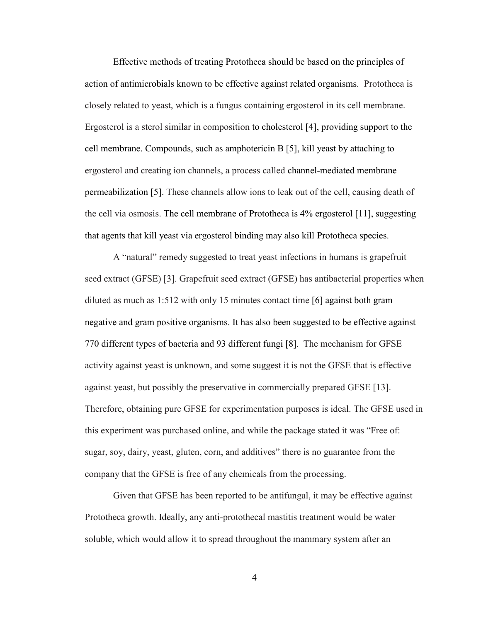Effective methods of treating Prototheca should be based on the principles of action of antimicrobials known to be effective against related organisms. Prototheca is closely related to yeast, which is a fungus containing ergosterol in its cell membrane. Ergosterol is a sterol similar in composition to cholesterol [4], providing support to the cell membrane. Compounds, such as amphotericin B [5], kill yeast by attaching to ergosterol and creating ion channels, a process called channel-mediated membrane permeabilization [5]. These channels allow ions to leak out of the cell, causing death of the cell via osmosis. The cell membrane of Prototheca is 4% ergosterol [11], suggesting that agents that kill yeast via ergosterol binding may also kill Prototheca species.

A "natural" remedy suggested to treat yeast infections in humans is grapefruit seed extract (GFSE) [3]. Grapefruit seed extract (GFSE) has antibacterial properties when diluted as much as 1:512 with only 15 minutes contact time [6] against both gram negative and gram positive organisms. It has also been suggested to be effective against 770 different types of bacteria and 93 different fungi [8]. The mechanism for GFSE activity against yeast is unknown, and some suggest it is not the GFSE that is effective against yeast, but possibly the preservative in commercially prepared GFSE [13]. Therefore, obtaining pure GFSE for experimentation purposes is ideal. The GFSE used in this experiment was purchased online, and while the package stated it was "Free of: sugar, soy, dairy, yeast, gluten, corn, and additives" there is no guarantee from the company that the GFSE is free of any chemicals from the processing.

Given that GFSE has been reported to be antifungal, it may be effective against Prototheca growth. Ideally, any anti-protothecal mastitis treatment would be water soluble, which would allow it to spread throughout the mammary system after an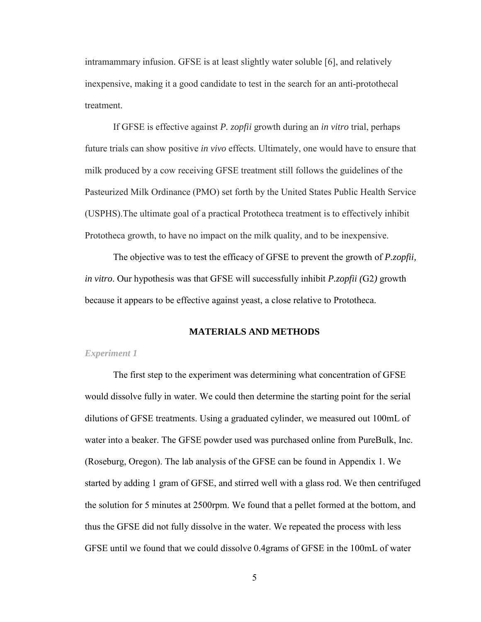intramammary infusion. GFSE is at least slightly water soluble [6], and relatively inexpensive, making it a good candidate to test in the search for an anti-protothecal treatment.

If GFSE is effective against *P. zopfii* growth during an *in vitro* trial, perhaps future trials can show positive *in vivo* effects. Ultimately, one would have to ensure that milk produced by a cow receiving GFSE treatment still follows the guidelines of the Pasteurized Milk Ordinance (PMO) set forth by the United States Public Health Service (USPHS).The ultimate goal of a practical Prototheca treatment is to effectively inhibit Prototheca growth, to have no impact on the milk quality, and to be inexpensive.

 The objective was to test the efficacy of GFSE to prevent the growth of *P.zopfii, in vitro*. Our hypothesis was that GFSE will successfully inhibit *P.zopfii (*G2*)* growth because it appears to be effective against yeast, a close relative to Prototheca.

#### **MATERIALS AND METHODS**

#### *Experiment 1*

The first step to the experiment was determining what concentration of GFSE would dissolve fully in water. We could then determine the starting point for the serial dilutions of GFSE treatments. Using a graduated cylinder, we measured out 100mL of water into a beaker. The GFSE powder used was purchased online from PureBulk, Inc. (Roseburg, Oregon). The lab analysis of the GFSE can be found in Appendix 1. We started by adding 1 gram of GFSE, and stirred well with a glass rod. We then centrifuged the solution for 5 minutes at 2500rpm. We found that a pellet formed at the bottom, and thus the GFSE did not fully dissolve in the water. We repeated the process with less GFSE until we found that we could dissolve 0.4grams of GFSE in the 100mL of water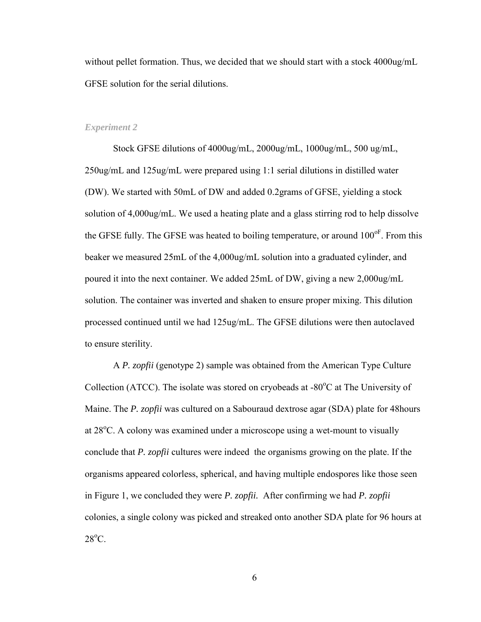without pellet formation. Thus, we decided that we should start with a stock 4000ug/mL GFSE solution for the serial dilutions.

#### *Experiment 2*

Stock GFSE dilutions of 4000ug/mL, 2000ug/mL, 1000ug/mL, 500 ug/mL, 250ug/mL and 125ug/mL were prepared using 1:1 serial dilutions in distilled water (DW). We started with 50mL of DW and added 0.2grams of GFSE, yielding a stock solution of 4,000ug/mL. We used a heating plate and a glass stirring rod to help dissolve the GFSE fully. The GFSE was heated to boiling temperature, or around  $100^{\circ}$ . From this beaker we measured 25mL of the 4,000ug/mL solution into a graduated cylinder, and poured it into the next container. We added 25mL of DW, giving a new 2,000ug/mL solution. The container was inverted and shaken to ensure proper mixing. This dilution processed continued until we had 125ug/mL. The GFSE dilutions were then autoclaved to ensure sterility.

A *P. zopfii* (genotype 2) sample was obtained from the American Type Culture Collection (ATCC). The isolate was stored on cryobeads at  $-80^{\circ}$ C at The University of Maine. The *P. zopfii* was cultured on a Sabouraud dextrose agar (SDA) plate for 48hours at  $28^{\circ}$ C. A colony was examined under a microscope using a wet-mount to visually conclude that *P. zopfii* cultures were indeed the organisms growing on the plate. If the organisms appeared colorless, spherical, and having multiple endospores like those seen in Figure 1, we concluded they were *P. zopfii.* After confirming we had *P. zopfii* colonies, a single colony was picked and streaked onto another SDA plate for 96 hours at  $28^{\circ}$ C.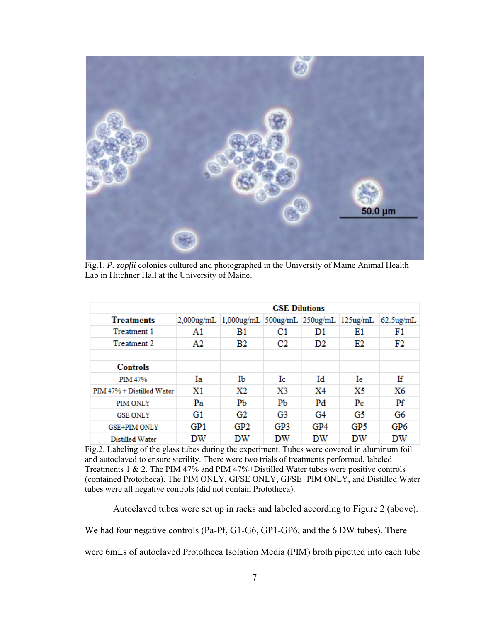

Fig.1. *P. zopfii* colonies cultured and photographed in the University of Maine Animal Health Lab in Hitchner Hall at the University of Maine.

|                           | <b>GSE Dilutions</b> |                                       |     |     |     |              |  |
|---------------------------|----------------------|---------------------------------------|-----|-----|-----|--------------|--|
| <b>Treatments</b>         | $2.000$ ug/mL        | 1,000ug/mL 500ug/mL 250ug/mL 125ug/mL |     |     |     | $62.5$ ug/mL |  |
| Treatment 1               | A1                   | B1                                    | C1  | D1  | E1  | F1           |  |
| Treatment 2               | A2                   | <b>B2</b>                             | C2  | D2  | E2  | F2           |  |
|                           |                      |                                       |     |     |     |              |  |
| <b>Controls</b>           |                      |                                       |     |     |     |              |  |
| <b>PIM 47%</b>            | Ia                   | Ib                                    | Ic  | Id  | Iе  | Ιf           |  |
| PIM 47% + Distilled Water | X1                   | X2                                    | X3  | X4  | X5  | X6           |  |
| <b>PIM ONLY</b>           | Pa                   | PЬ                                    | PЬ  | Pd  | Pe  | Pf           |  |
| <b>GSE ONLY</b>           | G1                   | G2                                    | G3  | G4  | G5  | G6           |  |
| <b>GSE+PIM ONLY</b>       | GP1                  | GP <sub>2</sub>                       | GP3 | GP4 | GP5 | GP6          |  |
| Distilled Water           | DW                   | DW                                    | DW  | DW  | DW  | DW           |  |

Fig.2. Labeling of the glass tubes during the experiment. Tubes were covered in aluminum foil and autoclaved to ensure sterility. There were two trials of treatments performed, labeled Treatments 1 & 2. The PIM 47% and PIM 47%+Distilled Water tubes were positive controls (contained Prototheca). The PIM ONLY, GFSE ONLY, GFSE+PIM ONLY, and Distilled Water tubes were all negative controls (did not contain Prototheca).

Autoclaved tubes were set up in racks and labeled according to Figure 2 (above).

We had four negative controls (Pa-Pf, G1-G6, GP1-GP6, and the 6 DW tubes). There

were 6mLs of autoclaved Prototheca Isolation Media (PIM) broth pipetted into each tube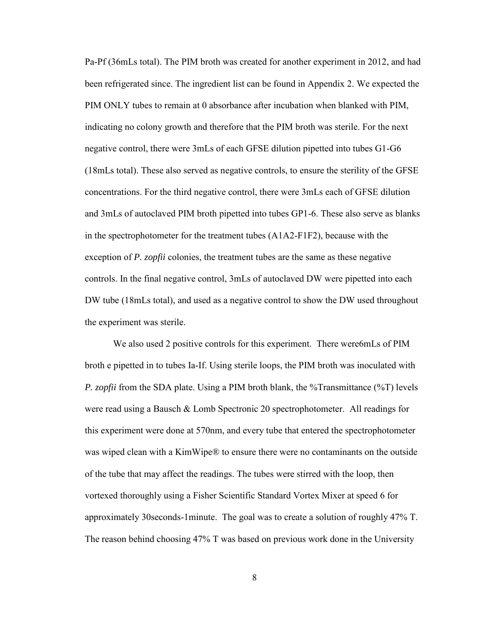Pa-Pf (36mLs total). The PIM broth was created for another experiment in 2012, and had been refrigerated since. The ingredient list can be found in Appendix 2. We expected the PIM ONLY tubes to remain at 0 absorbance after incubation when blanked with PIM, indicating no colony growth and therefore that the PIM broth was sterile. For the next negative control, there were 3mLs of each GFSE dilution pipetted into tubes G1-G6 (18mLs total). These also served as negative controls, to ensure the sterility of the GFSE concentrations. For the third negative control, there were 3mLs each of GFSE dilution and 3mLs of autoclaved PIM broth pipetted into tubes GP1-6. These also serve as blanks in the spectrophotometer for the treatment tubes (A1A2-F1F2), because with the exception of *P. zopfii* colonies, the treatment tubes are the same as these negative controls. In the final negative control, 3mLs of autoclaved DW were pipetted into each DW tube (18mLs total), and used as a negative control to show the DW used throughout the experiment was sterile.

We also used 2 positive controls for this experiment. There were6mLs of PIM broth e pipetted in to tubes Ia-If. Using sterile loops, the PIM broth was inoculated with *P. zopfii* from the SDA plate. Using a PIM broth blank, the %Transmittance (%T) levels were read using a Bausch & Lomb Spectronic 20 spectrophotometer. All readings for this experiment were done at 570nm, and every tube that entered the spectrophotometer was wiped clean with a KimWipe® to ensure there were no contaminants on the outside of the tube that may affect the readings. The tubes were stirred with the loop, then vortexed thoroughly using a Fisher Scientific Standard Vortex Mixer at speed 6 for approximately 30seconds-1minute. The goal was to create a solution of roughly 47% T. The reason behind choosing 47% T was based on previous work done in the University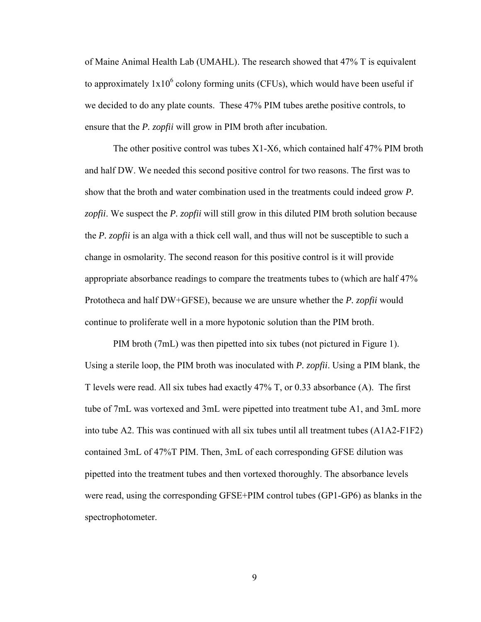of Maine Animal Health Lab (UMAHL). The research showed that 47% T is equivalent to approximately  $1x10^6$  colony forming units (CFUs), which would have been useful if we decided to do any plate counts. These 47% PIM tubes arethe positive controls, to ensure that the *P. zopfii* will grow in PIM broth after incubation.

The other positive control was tubes X1-X6, which contained half 47% PIM broth and half DW. We needed this second positive control for two reasons. The first was to show that the broth and water combination used in the treatments could indeed grow *P. zopfii*. We suspect the *P. zopfii* will still grow in this diluted PIM broth solution because the *P. zopfii* is an alga with a thick cell wall, and thus will not be susceptible to such a change in osmolarity. The second reason for this positive control is it will provide appropriate absorbance readings to compare the treatments tubes to (which are half 47% Prototheca and half DW+GFSE), because we are unsure whether the *P. zopfii* would continue to proliferate well in a more hypotonic solution than the PIM broth.

PIM broth (7mL) was then pipetted into six tubes (not pictured in Figure 1). Using a sterile loop, the PIM broth was inoculated with *P. zopfii*. Using a PIM blank, the T levels were read. All six tubes had exactly 47% T, or 0.33 absorbance (A). The first tube of 7mL was vortexed and 3mL were pipetted into treatment tube A1, and 3mL more into tube A2. This was continued with all six tubes until all treatment tubes (A1A2-F1F2) contained 3mL of 47%T PIM. Then, 3mL of each corresponding GFSE dilution was pipetted into the treatment tubes and then vortexed thoroughly. The absorbance levels were read, using the corresponding GFSE+PIM control tubes (GP1-GP6) as blanks in the spectrophotometer.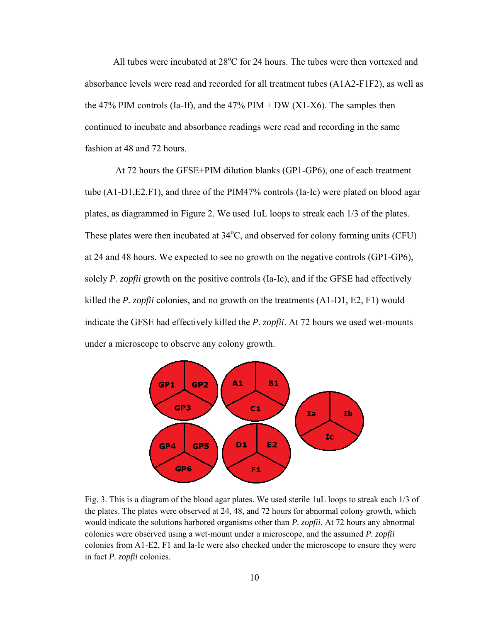All tubes were incubated at  $28^{\circ}$ C for 24 hours. The tubes were then vortexed and absorbance levels were read and recorded for all treatment tubes (A1A2-F1F2), as well as the 47% PIM controls (Ia-If), and the 47% PIM + DW  $(X1-X6)$ . The samples then continued to incubate and absorbance readings were read and recording in the same fashion at 48 and 72 hours.

At 72 hours the GFSE+PIM dilution blanks (GP1-GP6), one of each treatment tube (A1-D1,E2,F1), and three of the PIM47% controls (Ia-Ic) were plated on blood agar plates, as diagrammed in Figure 2. We used 1uL loops to streak each 1/3 of the plates. These plates were then incubated at  $34^{\circ}$ C, and observed for colony forming units (CFU) at 24 and 48 hours. We expected to see no growth on the negative controls (GP1-GP6), solely *P. zopfii* growth on the positive controls (Ia-Ic), and if the GFSE had effectively killed the *P. zopfii* colonies, and no growth on the treatments (A1-D1, E2, F1) would indicate the GFSE had effectively killed the *P. zopfii*. At 72 hours we used wet-mounts under a microscope to observe any colony growth.



Fig. 3. This is a diagram of the blood agar plates. We used sterile 1uL loops to streak each 1/3 of the plates. The plates were observed at 24, 48, and 72 hours for abnormal colony growth, which would indicate the solutions harbored organisms other than *P. zopfii*. At 72 hours any abnormal colonies were observed using a wet-mount under a microscope, and the assumed *P. zopfii* colonies from A1-E2, F1 and Ia-Ic were also checked under the microscope to ensure they were in fact *P. zopfii* colonies.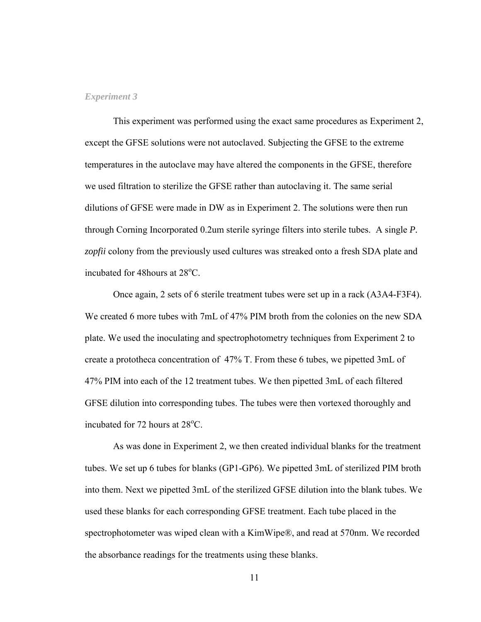#### *Experiment 3*

This experiment was performed using the exact same procedures as Experiment 2, except the GFSE solutions were not autoclaved. Subjecting the GFSE to the extreme temperatures in the autoclave may have altered the components in the GFSE, therefore we used filtration to sterilize the GFSE rather than autoclaving it. The same serial dilutions of GFSE were made in DW as in Experiment 2. The solutions were then run through Corning Incorporated 0.2um sterile syringe filters into sterile tubes. A single *P. zopfii* colony from the previously used cultures was streaked onto a fresh SDA plate and incubated for 48 hours at  $28^{\circ}$ C.

Once again, 2 sets of 6 sterile treatment tubes were set up in a rack (A3A4-F3F4). We created 6 more tubes with 7mL of 47% PIM broth from the colonies on the new SDA plate. We used the inoculating and spectrophotometry techniques from Experiment 2 to create a prototheca concentration of 47% T. From these 6 tubes, we pipetted 3mL of 47% PIM into each of the 12 treatment tubes. We then pipetted 3mL of each filtered GFSE dilution into corresponding tubes. The tubes were then vortexed thoroughly and incubated for  $72$  hours at  $28^{\circ}$ C.

As was done in Experiment 2, we then created individual blanks for the treatment tubes. We set up 6 tubes for blanks (GP1-GP6). We pipetted 3mL of sterilized PIM broth into them. Next we pipetted 3mL of the sterilized GFSE dilution into the blank tubes. We used these blanks for each corresponding GFSE treatment. Each tube placed in the spectrophotometer was wiped clean with a KimWipe®, and read at 570nm. We recorded the absorbance readings for the treatments using these blanks.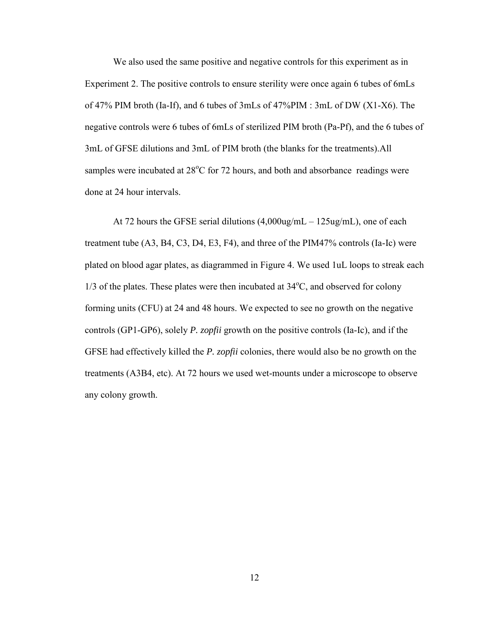We also used the same positive and negative controls for this experiment as in Experiment 2. The positive controls to ensure sterility were once again 6 tubes of 6mLs of 47% PIM broth (Ia-If), and 6 tubes of 3mLs of 47%PIM : 3mL of DW (X1-X6). The negative controls were 6 tubes of 6mLs of sterilized PIM broth (Pa-Pf), and the 6 tubes of 3mL of GFSE dilutions and 3mL of PIM broth (the blanks for the treatments).All samples were incubated at  $28^{\circ}$ C for 72 hours, and both and absorbance readings were done at 24 hour intervals.

At 72 hours the GFSE serial dilutions (4,000ug/mL – 125ug/mL), one of each treatment tube (A3, B4, C3, D4, E3, F4), and three of the PIM47% controls (Ia-Ic) were plated on blood agar plates, as diagrammed in Figure 4. We used 1uL loops to streak each  $1/3$  of the plates. These plates were then incubated at  $34^{\circ}$ C, and observed for colony forming units (CFU) at 24 and 48 hours. We expected to see no growth on the negative controls (GP1-GP6), solely *P. zopfii* growth on the positive controls (Ia-Ic), and if the GFSE had effectively killed the *P. zopfii* colonies, there would also be no growth on the treatments (A3B4, etc). At 72 hours we used wet-mounts under a microscope to observe any colony growth.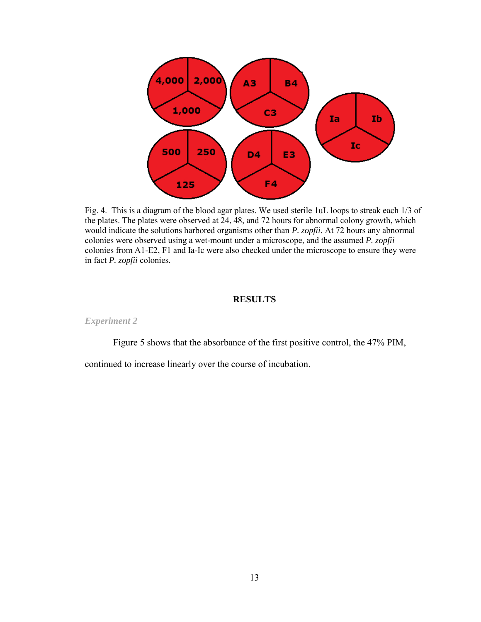

Fig. 4. This is a diagram of the blood agar plates. We used sterile 1uL loops to streak each 1/3 of the plates. The plates were observed at 24, 48, and 72 hours for abnormal colony growth, which would indicate the solutions harbored organisms other than *P. zopfii*. At 72 hours any abnormal colonies were observed using a wet-mount under a microscope, and the assumed *P. zopfii* colonies from A1-E2, F1 and Ia-Ic were also checked under the microscope to ensure they were in fact *P. zopfii* colonies.

## **RESULTS**

*Experiment 2* 

Figure 5 shows that the absorbance of the first positive control, the 47% PIM,

continued to increase linearly over the course of incubation.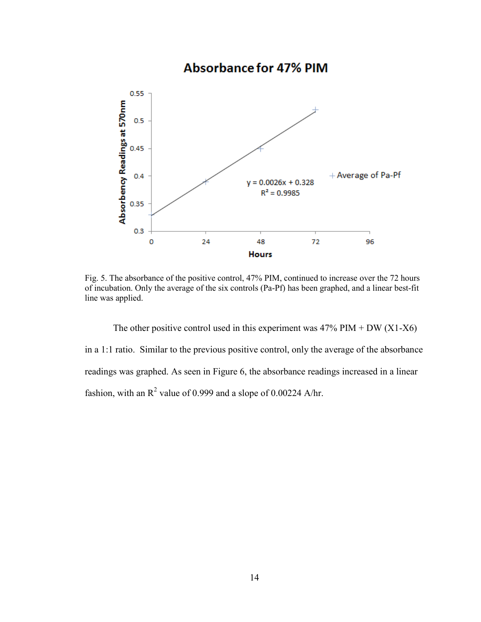## **Absorbance for 47% PIM** 0.55 Absorbency Readings at 570nm  $0.5$ 0.45 + Average of Pa-Pf  $0.4$  $y = 0.0026x + 0.328$  $R^2 = 0.9985$ 0.35  $0.3$ O 24 48 72 96 **Hours**

Fig. 5. The absorbance of the positive control, 47% PIM, continued to increase over the 72 hours of incubation. Only the average of the six controls (Pa-Pf) has been graphed, and a linear best-fit line was applied.

The other positive control used in this experiment was  $47\%$  PIM + DW (X1-X6) in a 1:1 ratio. Similar to the previous positive control, only the average of the absorbance readings was graphed. As seen in Figure 6, the absorbance readings increased in a linear fashion, with an  $R^2$  value of 0.999 and a slope of 0.00224 A/hr.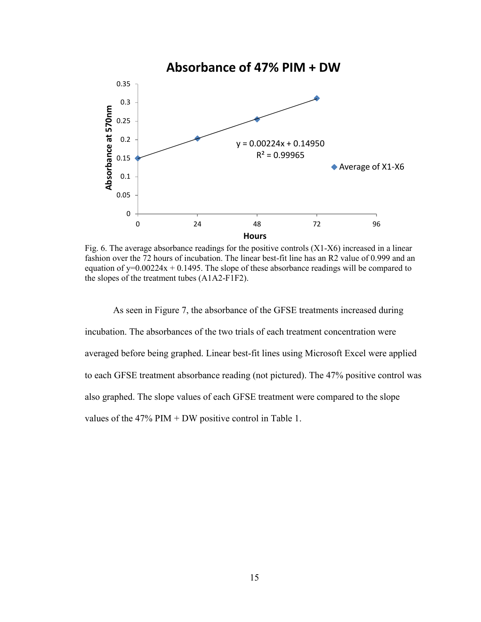

Fig. 6. The average absorbance readings for the positive controls  $(X1-X6)$  increased in a linear fashion over the 72 hours of incubation. The linear best-fit line has an R2 value of 0.999 and an equation of  $y=0.00224x + 0.1495$ . The slope of these absorbance readings will be compared to the slopes of the treatment tubes (A1A2-F1F2).

As seen in Figure 7, the absorbance of the GFSE treatments increased during incubation. The absorbances of the two trials of each treatment concentration were averaged before being graphed. Linear best-fit lines using Microsoft Excel were applied to each GFSE treatment absorbance reading (not pictured). The 47% positive control was also graphed. The slope values of each GFSE treatment were compared to the slope values of the  $47\%$  PIM + DW positive control in Table 1.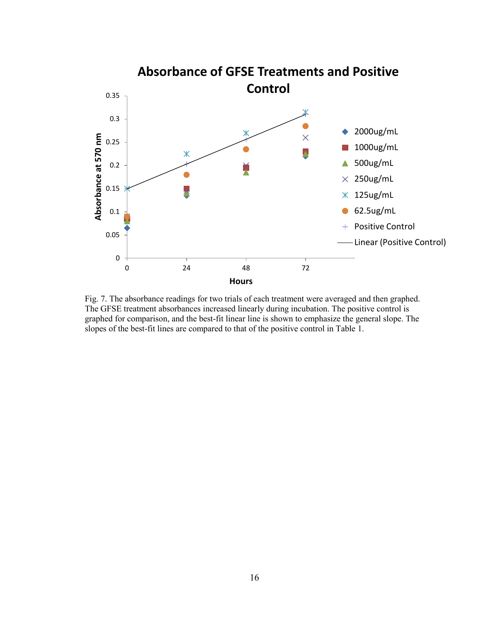

Fig. 7. The absorbance readings for two trials of each treatment were averaged and then graphed. The GFSE treatment absorbances increased linearly during incubation. The positive control is graphed for comparison, and the best-fit linear line is shown to emphasize the general slope. The slopes of the best-fit lines are compared to that of the positive control in Table 1.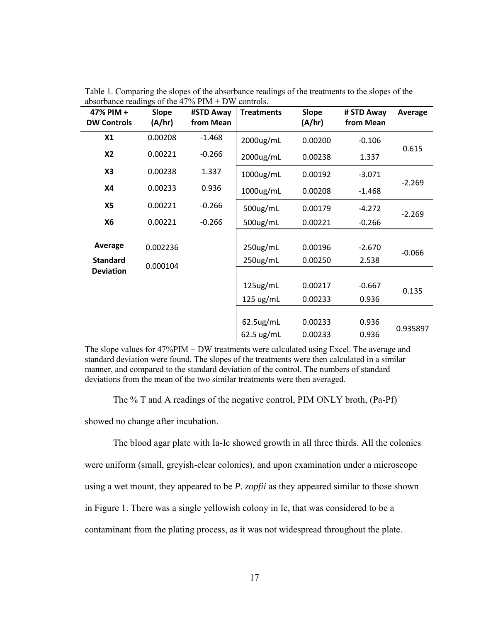| 47% PIM +<br><b>DW Controls</b> | Slope<br>(A/hr) | #STD Away<br>from Mean | <b>Treatments</b>    | <b>Slope</b><br>(A/hr) | # STD Away<br>from Mean | Average  |
|---------------------------------|-----------------|------------------------|----------------------|------------------------|-------------------------|----------|
| X1                              | 0.00208         | $-1.468$               | 2000ug/mL            | 0.00200                | $-0.106$                |          |
| <b>X2</b>                       | 0.00221         | $-0.266$               | 2000ug/mL            | 0.00238                | 1.337                   | 0.615    |
| X3                              | 0.00238         | 1.337                  | 1000ug/mL            | 0.00192                | $-3.071$                |          |
| <b>X4</b>                       | 0.00233         | 0.936                  | $1000$ ug/mL         | 0.00208                | $-1.468$                | $-2.269$ |
| <b>X5</b>                       | 0.00221         | $-0.266$               | 500ug/mL             | 0.00179                | $-4.272$                | $-2.269$ |
| <b>X6</b>                       | 0.00221         | $-0.266$               | 500ug/mL             | 0.00221                | $-0.266$                |          |
|                                 |                 |                        |                      |                        |                         |          |
| Average                         | 0.002236        |                        | 250ug/mL             | 0.00196                | $-2.670$                | $-0.066$ |
| <b>Standard</b>                 | 0.000104        |                        | 250ug/mL             | 0.00250                | 2.538                   |          |
| <b>Deviation</b>                |                 |                        |                      |                        |                         |          |
|                                 |                 |                        | 125ug/mL             | 0.00217                | $-0.667$                | 0.135    |
|                                 |                 |                        | 125 ug/mL            | 0.00233                | 0.936                   |          |
|                                 |                 |                        |                      |                        |                         |          |
|                                 |                 |                        | $62.5$ ug/mL         | 0.00233                | 0.936                   | 0.935897 |
|                                 |                 |                        | $62.5 \text{ ug/mL}$ | 0.00233                | 0.936                   |          |

Table 1. Comparing the slopes of the absorbance readings of the treatments to the slopes of the absorbance readings of the 47% PIM + DW controls.

The slope values for 47%PIM + DW treatments were calculated using Excel. The average and standard deviation were found. The slopes of the treatments were then calculated in a similar manner, and compared to the standard deviation of the control. The numbers of standard deviations from the mean of the two similar treatments were then averaged.

The % T and A readings of the negative control, PIM ONLY broth, (Pa-Pf)

showed no change after incubation.

The blood agar plate with Ia-Ic showed growth in all three thirds. All the colonies

were uniform (small, greyish-clear colonies), and upon examination under a microscope

using a wet mount, they appeared to be *P. zopfii* as they appeared similar to those shown

in Figure 1. There was a single yellowish colony in Ic, that was considered to be a

contaminant from the plating process, as it was not widespread throughout the plate.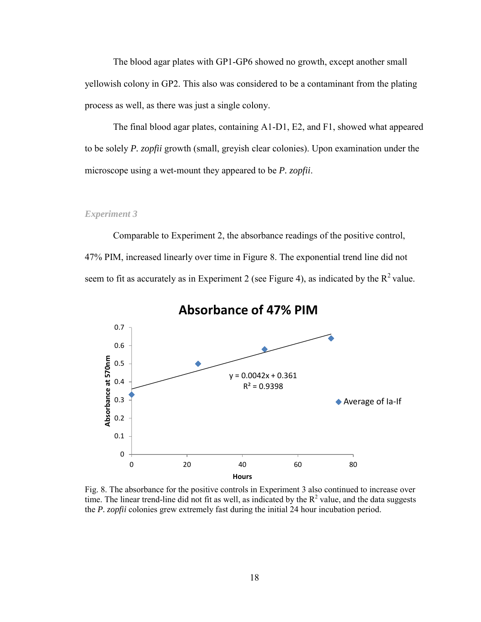The blood agar plates with GP1-GP6 showed no growth, except another small yellowish colony in GP2. This also was considered to be a contaminant from the plating process as well, as there was just a single colony.

 The final blood agar plates, containing A1-D1, E2, and F1, showed what appeared to be solely *P. zopfii* growth (small, greyish clear colonies). Upon examination under the microscope using a wet-mount they appeared to be *P. zopfii*.

#### *Experiment 3*

Comparable to Experiment 2, the absorbance readings of the positive control, 47% PIM, increased linearly over time in Figure 8. The exponential trend line did not seem to fit as accurately as in Experiment 2 (see Figure 4), as indicated by the  $R^2$  value.



**Absorbance of 47% PIM** 

Fig. 8. The absorbance for the positive controls in Experiment 3 also continued to increase over time. The linear trend-line did not fit as well, as indicated by the  $R^2$  value, and the data suggests the *P. zopfii* colonies grew extremely fast during the initial 24 hour incubation period.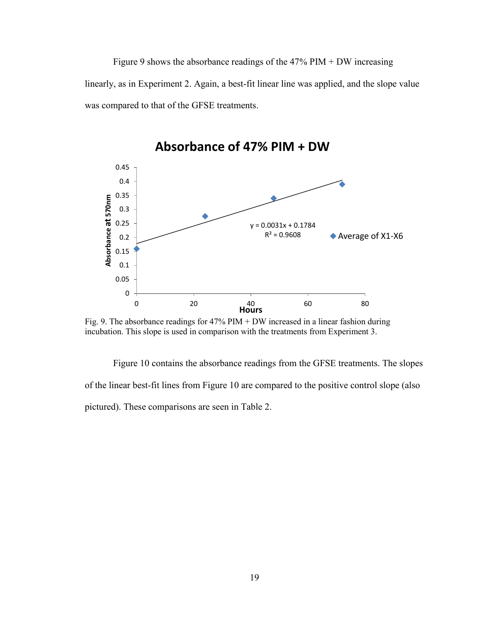Figure 9 shows the absorbance readings of the  $47\%$  PIM + DW increasing linearly, as in Experiment 2. Again, a best-fit linear line was applied, and the slope value was compared to that of the GFSE treatments.



Fig. 9. The absorbance readings for 47% PIM + DW increased in a linear fashion during incubation. This slope is used in comparison with the treatments from Experiment 3.

Figure 10 contains the absorbance readings from the GFSE treatments. The slopes of the linear best-fit lines from Figure 10 are compared to the positive control slope (also pictured). These comparisons are seen in Table 2.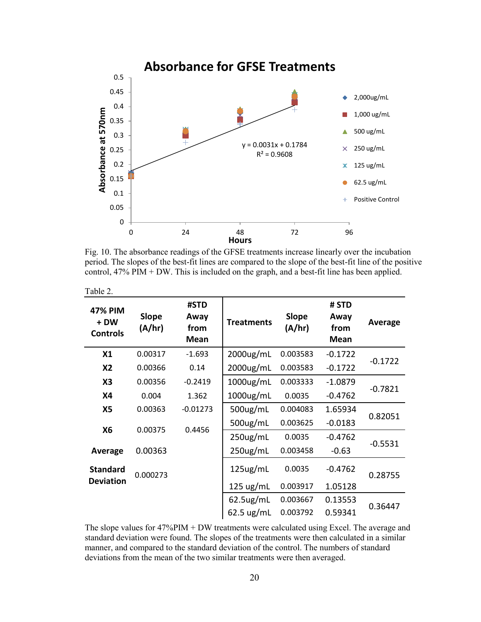

Fig. 10. The absorbance readings of the GFSE treatments increase linearly over the incubation period. The slopes of the best-fit lines are compared to the slope of the best-fit line of the positive control, 47% PIM + DW. This is included on the graph, and a best-fit line has been applied.

| Table 2.                                  |                        |                                     |                      |                        |                                      |           |  |
|-------------------------------------------|------------------------|-------------------------------------|----------------------|------------------------|--------------------------------------|-----------|--|
| <b>47% PIM</b><br>+ DW<br><b>Controls</b> | <b>Slope</b><br>(A/hr) | #STD<br>Away<br>from<br><b>Mean</b> | <b>Treatments</b>    | <b>Slope</b><br>(A/hr) | # STD<br>Away<br>from<br><b>Mean</b> | Average   |  |
| X1                                        | 0.00317                | $-1.693$                            | 2000ug/mL            | 0.003583               | $-0.1722$                            |           |  |
| <b>X2</b>                                 | 0.00366                | 0.14                                | $2000$ ug/mL         | 0.003583               | $-0.1722$                            | $-0.1722$ |  |
| X <sub>3</sub>                            | 0.00356                | $-0.2419$                           | $1000$ ug/mL         | 0.003333               | $-1.0879$                            |           |  |
| <b>X4</b>                                 | 0.004                  | 1.362                               | $1000$ ug/mL         | 0.0035                 | $-0.4762$                            | $-0.7821$ |  |
| X5                                        | 0.00363                | $-0.01273$                          | $500$ ug/mL          | 0.004083               | 1.65934                              |           |  |
| <b>X6</b>                                 | 0.00375                | 0.4456                              | $500$ ug/mL          | 0.003625               | $-0.0183$                            | 0.82051   |  |
|                                           |                        |                                     | $250$ ug/mL          | 0.0035                 | $-0.4762$                            |           |  |
| <b>Average</b>                            | 0.00363                |                                     | $250$ ug/mL          | 0.003458               | $-0.63$                              | $-0.5531$ |  |
| <b>Standard</b>                           | 0.000273               |                                     | $125$ ug/mL          | 0.0035                 | $-0.4762$                            | 0.28755   |  |
| <b>Deviation</b>                          |                        |                                     | $125 \text{ ug/mL}$  | 0.003917               | 1.05128                              |           |  |
|                                           |                        |                                     | $62.5$ ug/mL         | 0.003667               | 0.13553                              | 0.36447   |  |
|                                           |                        |                                     | $62.5 \text{ ug/mL}$ | 0.003792               | 0.59341                              |           |  |

The slope values for 47%PIM + DW treatments were calculated using Excel. The average and standard deviation were found. The slopes of the treatments were then calculated in a similar manner, and compared to the standard deviation of the control. The numbers of standard deviations from the mean of the two similar treatments were then averaged.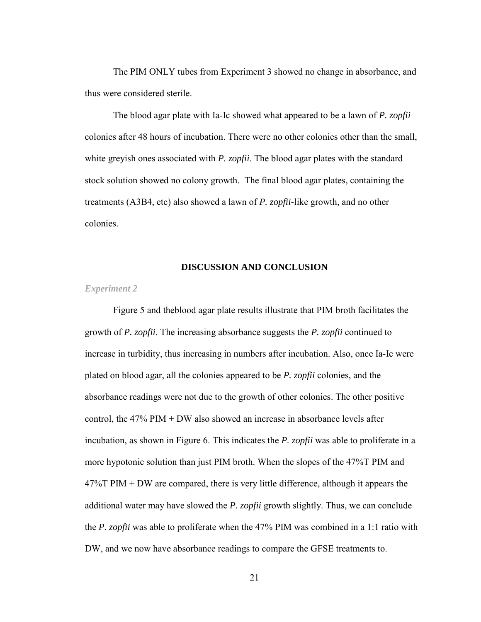The PIM ONLY tubes from Experiment 3 showed no change in absorbance, and thus were considered sterile.

The blood agar plate with Ia-Ic showed what appeared to be a lawn of *P. zopfii* colonies after 48 hours of incubation. There were no other colonies other than the small, white greyish ones associated with *P. zopfii*. The blood agar plates with the standard stock solution showed no colony growth. The final blood agar plates, containing the treatments (A3B4, etc) also showed a lawn of *P. zopfii*-like growth, and no other colonies.

#### **DISCUSSION AND CONCLUSION**

## *Experiment 2*

Figure 5 and theblood agar plate results illustrate that PIM broth facilitates the growth of *P. zopfii*. The increasing absorbance suggests the *P. zopfii* continued to increase in turbidity, thus increasing in numbers after incubation. Also, once Ia-Ic were plated on blood agar, all the colonies appeared to be *P. zopfii* colonies, and the absorbance readings were not due to the growth of other colonies. The other positive control, the 47% PIM + DW also showed an increase in absorbance levels after incubation, as shown in Figure 6. This indicates the *P. zopfii* was able to proliferate in a more hypotonic solution than just PIM broth. When the slopes of the 47%T PIM and 47%T PIM + DW are compared, there is very little difference, although it appears the additional water may have slowed the *P. zopfii* growth slightly. Thus, we can conclude the *P. zopfii* was able to proliferate when the 47% PIM was combined in a 1:1 ratio with DW, and we now have absorbance readings to compare the GFSE treatments to.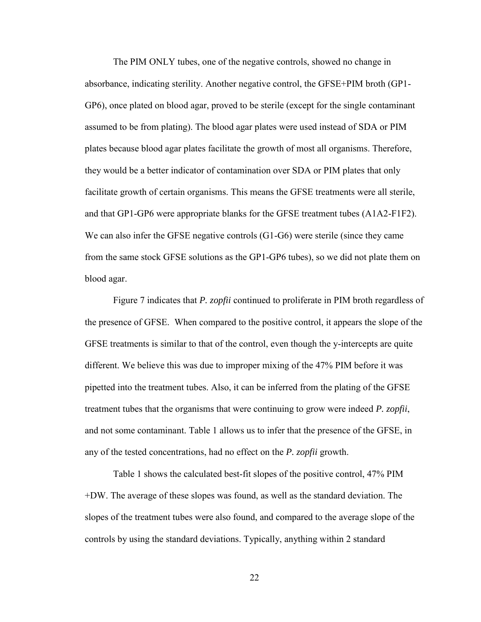The PIM ONLY tubes, one of the negative controls, showed no change in absorbance, indicating sterility. Another negative control, the GFSE+PIM broth (GP1- GP6), once plated on blood agar, proved to be sterile (except for the single contaminant assumed to be from plating). The blood agar plates were used instead of SDA or PIM plates because blood agar plates facilitate the growth of most all organisms. Therefore, they would be a better indicator of contamination over SDA or PIM plates that only facilitate growth of certain organisms. This means the GFSE treatments were all sterile, and that GP1-GP6 were appropriate blanks for the GFSE treatment tubes (A1A2-F1F2). We can also infer the GFSE negative controls (G1-G6) were sterile (since they came from the same stock GFSE solutions as the GP1-GP6 tubes), so we did not plate them on blood agar.

Figure 7 indicates that *P. zopfii* continued to proliferate in PIM broth regardless of the presence of GFSE. When compared to the positive control, it appears the slope of the GFSE treatments is similar to that of the control, even though the y-intercepts are quite different. We believe this was due to improper mixing of the 47% PIM before it was pipetted into the treatment tubes. Also, it can be inferred from the plating of the GFSE treatment tubes that the organisms that were continuing to grow were indeed *P. zopfii*, and not some contaminant. Table 1 allows us to infer that the presence of the GFSE, in any of the tested concentrations, had no effect on the *P. zopfii* growth.

Table 1 shows the calculated best-fit slopes of the positive control, 47% PIM +DW. The average of these slopes was found, as well as the standard deviation. The slopes of the treatment tubes were also found, and compared to the average slope of the controls by using the standard deviations. Typically, anything within 2 standard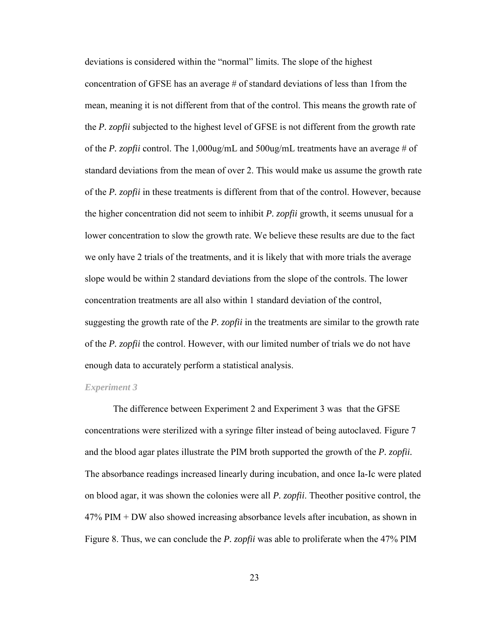deviations is considered within the "normal" limits. The slope of the highest concentration of GFSE has an average # of standard deviations of less than 1from the mean, meaning it is not different from that of the control. This means the growth rate of the *P. zopfii* subjected to the highest level of GFSE is not different from the growth rate of the *P. zopfii* control. The 1,000ug/mL and 500ug/mL treatments have an average # of standard deviations from the mean of over 2. This would make us assume the growth rate of the *P. zopfii* in these treatments is different from that of the control. However, because the higher concentration did not seem to inhibit *P. zopfii* growth, it seems unusual for a lower concentration to slow the growth rate. We believe these results are due to the fact we only have 2 trials of the treatments, and it is likely that with more trials the average slope would be within 2 standard deviations from the slope of the controls. The lower concentration treatments are all also within 1 standard deviation of the control, suggesting the growth rate of the *P. zopfii* in the treatments are similar to the growth rate of the *P. zopfii* the control. However, with our limited number of trials we do not have enough data to accurately perform a statistical analysis.

#### *Experiment 3*

The difference between Experiment 2 and Experiment 3 was that the GFSE concentrations were sterilized with a syringe filter instead of being autoclaved. Figure 7 and the blood agar plates illustrate the PIM broth supported the growth of the *P. zopfii.* The absorbance readings increased linearly during incubation, and once Ia-Ic were plated on blood agar, it was shown the colonies were all *P. zopfii*. Theother positive control, the 47% PIM + DW also showed increasing absorbance levels after incubation, as shown in Figure 8. Thus, we can conclude the *P. zopfii* was able to proliferate when the 47% PIM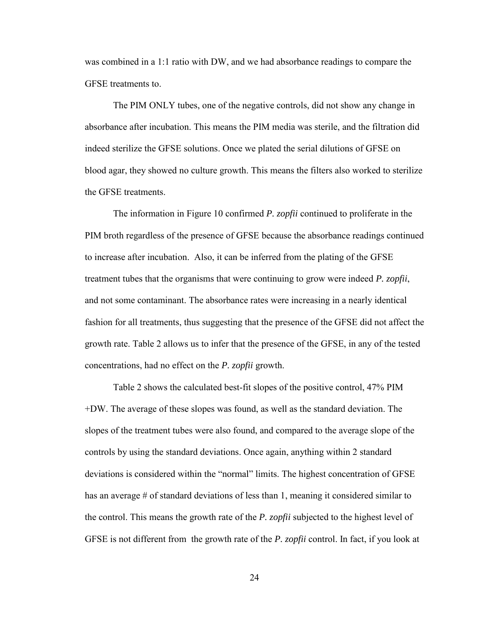was combined in a 1:1 ratio with DW, and we had absorbance readings to compare the GFSE treatments to.

The PIM ONLY tubes, one of the negative controls, did not show any change in absorbance after incubation. This means the PIM media was sterile, and the filtration did indeed sterilize the GFSE solutions. Once we plated the serial dilutions of GFSE on blood agar, they showed no culture growth. This means the filters also worked to sterilize the GFSE treatments.

The information in Figure 10 confirmed *P. zopfii* continued to proliferate in the PIM broth regardless of the presence of GFSE because the absorbance readings continued to increase after incubation. Also, it can be inferred from the plating of the GFSE treatment tubes that the organisms that were continuing to grow were indeed *P. zopfii*, and not some contaminant. The absorbance rates were increasing in a nearly identical fashion for all treatments, thus suggesting that the presence of the GFSE did not affect the growth rate. Table 2 allows us to infer that the presence of the GFSE, in any of the tested concentrations, had no effect on the *P. zopfii* growth.

Table 2 shows the calculated best-fit slopes of the positive control, 47% PIM +DW. The average of these slopes was found, as well as the standard deviation. The slopes of the treatment tubes were also found, and compared to the average slope of the controls by using the standard deviations. Once again, anything within 2 standard deviations is considered within the "normal" limits. The highest concentration of GFSE has an average # of standard deviations of less than 1, meaning it considered similar to the control. This means the growth rate of the *P. zopfii* subjected to the highest level of GFSE is not different from the growth rate of the *P. zopfii* control. In fact, if you look at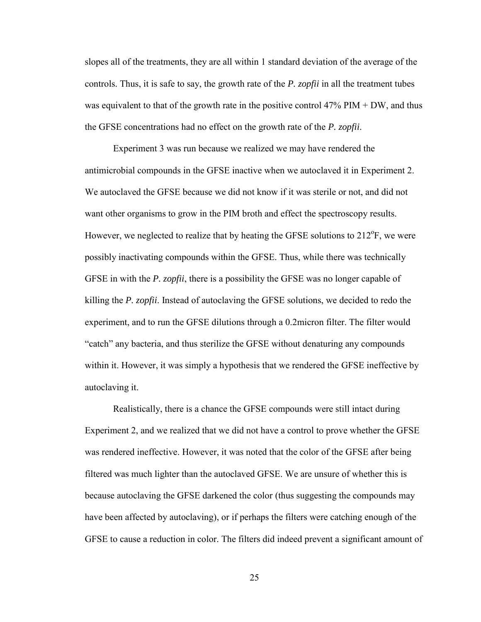slopes all of the treatments, they are all within 1 standard deviation of the average of the controls. Thus, it is safe to say, the growth rate of the *P. zopfii* in all the treatment tubes was equivalent to that of the growth rate in the positive control  $47\%$  PIM + DW, and thus the GFSE concentrations had no effect on the growth rate of the *P. zopfii*.

Experiment 3 was run because we realized we may have rendered the antimicrobial compounds in the GFSE inactive when we autoclaved it in Experiment 2. We autoclaved the GFSE because we did not know if it was sterile or not, and did not want other organisms to grow in the PIM broth and effect the spectroscopy results. However, we neglected to realize that by heating the GFSE solutions to  $212^{\circ}$ F, we were possibly inactivating compounds within the GFSE. Thus, while there was technically GFSE in with the *P. zopfii*, there is a possibility the GFSE was no longer capable of killing the *P. zopfii*. Instead of autoclaving the GFSE solutions, we decided to redo the experiment, and to run the GFSE dilutions through a 0.2micron filter. The filter would "catch" any bacteria, and thus sterilize the GFSE without denaturing any compounds within it. However, it was simply a hypothesis that we rendered the GFSE ineffective by autoclaving it.

Realistically, there is a chance the GFSE compounds were still intact during Experiment 2, and we realized that we did not have a control to prove whether the GFSE was rendered ineffective. However, it was noted that the color of the GFSE after being filtered was much lighter than the autoclaved GFSE. We are unsure of whether this is because autoclaving the GFSE darkened the color (thus suggesting the compounds may have been affected by autoclaving), or if perhaps the filters were catching enough of the GFSE to cause a reduction in color. The filters did indeed prevent a significant amount of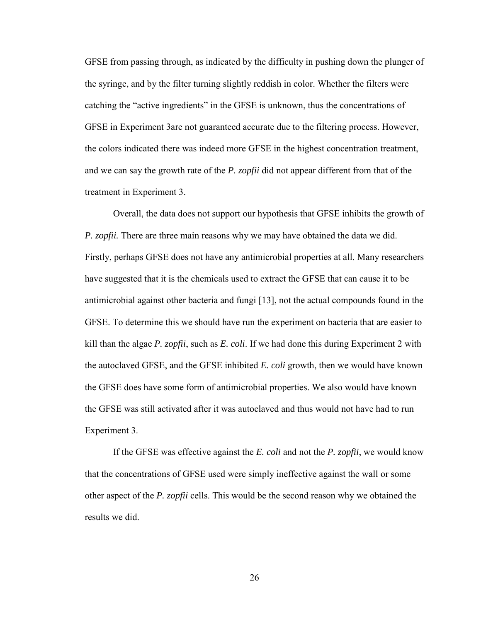GFSE from passing through, as indicated by the difficulty in pushing down the plunger of the syringe, and by the filter turning slightly reddish in color. Whether the filters were catching the "active ingredients" in the GFSE is unknown, thus the concentrations of GFSE in Experiment 3are not guaranteed accurate due to the filtering process. However, the colors indicated there was indeed more GFSE in the highest concentration treatment, and we can say the growth rate of the *P. zopfii* did not appear different from that of the treatment in Experiment 3.

Overall, the data does not support our hypothesis that GFSE inhibits the growth of *P. zopfii.* There are three main reasons why we may have obtained the data we did. Firstly, perhaps GFSE does not have any antimicrobial properties at all. Many researchers have suggested that it is the chemicals used to extract the GFSE that can cause it to be antimicrobial against other bacteria and fungi [13], not the actual compounds found in the GFSE. To determine this we should have run the experiment on bacteria that are easier to kill than the algae *P. zopfii*, such as *E. coli*. If we had done this during Experiment 2 with the autoclaved GFSE, and the GFSE inhibited *E. coli* growth, then we would have known the GFSE does have some form of antimicrobial properties. We also would have known the GFSE was still activated after it was autoclaved and thus would not have had to run Experiment 3.

If the GFSE was effective against the *E. coli* and not the *P. zopfii*, we would know that the concentrations of GFSE used were simply ineffective against the wall or some other aspect of the *P. zopfii* cells. This would be the second reason why we obtained the results we did.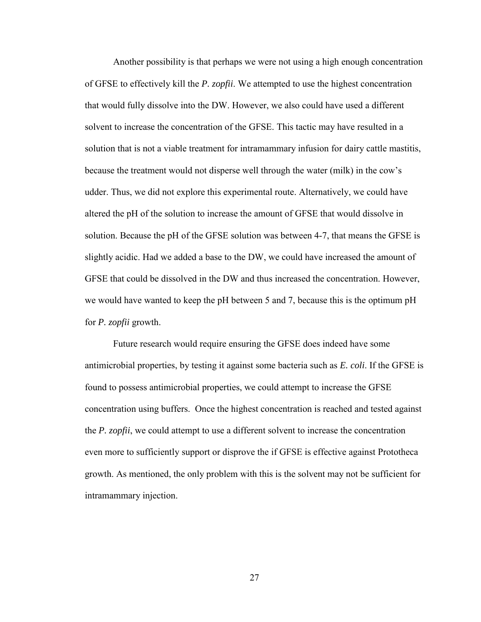Another possibility is that perhaps we were not using a high enough concentration of GFSE to effectively kill the *P. zopfii*. We attempted to use the highest concentration that would fully dissolve into the DW. However, we also could have used a different solvent to increase the concentration of the GFSE. This tactic may have resulted in a solution that is not a viable treatment for intramammary infusion for dairy cattle mastitis, because the treatment would not disperse well through the water (milk) in the cow's udder. Thus, we did not explore this experimental route. Alternatively, we could have altered the pH of the solution to increase the amount of GFSE that would dissolve in solution. Because the pH of the GFSE solution was between 4-7, that means the GFSE is slightly acidic. Had we added a base to the DW, we could have increased the amount of GFSE that could be dissolved in the DW and thus increased the concentration. However, we would have wanted to keep the pH between 5 and 7, because this is the optimum pH for *P. zopfii* growth.

Future research would require ensuring the GFSE does indeed have some antimicrobial properties, by testing it against some bacteria such as *E. coli*. If the GFSE is found to possess antimicrobial properties, we could attempt to increase the GFSE concentration using buffers. Once the highest concentration is reached and tested against the *P. zopfii*, we could attempt to use a different solvent to increase the concentration even more to sufficiently support or disprove the if GFSE is effective against Prototheca growth. As mentioned, the only problem with this is the solvent may not be sufficient for intramammary injection.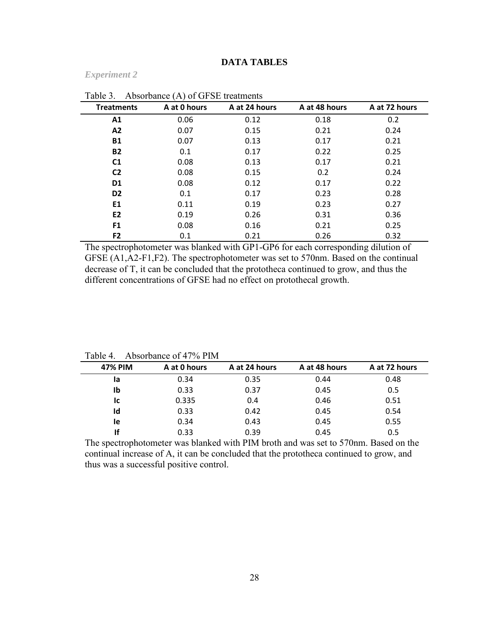## **DATA TABLES**

#### *Experiment 2*

| <b>Treatments</b> | A at 0 hours | A at 24 hours | A at 48 hours | A at 72 hours |
|-------------------|--------------|---------------|---------------|---------------|
| A1                | 0.06         | 0.12          | 0.18          | 0.2           |
| A2                | 0.07         | 0.15          | 0.21          | 0.24          |
| <b>B1</b>         | 0.07         | 0.13          | 0.17          | 0.21          |
| <b>B2</b>         | 0.1          | 0.17          | 0.22          | 0.25          |
| C <sub>1</sub>    | 0.08         | 0.13          | 0.17          | 0.21          |
| C <sub>2</sub>    | 0.08         | 0.15          | 0.2           | 0.24          |
| D <sub>1</sub>    | 0.08         | 0.12          | 0.17          | 0.22          |
| D <sub>2</sub>    | 0.1          | 0.17          | 0.23          | 0.28          |
| E1                | 0.11         | 0.19          | 0.23          | 0.27          |
| E <sub>2</sub>    | 0.19         | 0.26          | 0.31          | 0.36          |
| F <sub>1</sub>    | 0.08         | 0.16          | 0.21          | 0.25          |
| F <sub>2</sub>    | 0.1          | 0.21          | 0.26          | 0.32          |

Table 3 Absorbance (A) of GFSE treatments

The spectrophotometer was blanked with GP1-GP6 for each corresponding dilution of GFSE (A1,A2-F1,F2). The spectrophotometer was set to 570nm. Based on the continual decrease of T, it can be concluded that the prototheca continued to grow, and thus the different concentrations of GFSE had no effect on protothecal growth.

| TAUIU T.       | $\Delta 0.8010$ and $\Delta 0.477$ /0.1 Hy |               |               |               |
|----------------|--------------------------------------------|---------------|---------------|---------------|
| <b>47% PIM</b> | A at 0 hours                               | A at 24 hours | A at 48 hours | A at 72 hours |
| la             | 0.34                                       | 0.35          | 0.44          | 0.48          |
| Ib             | 0.33                                       | 0.37          | 0.45          | 0.5           |
| lc.            | 0.335                                      | 0.4           | 0.46          | 0.51          |
| Id             | 0.33                                       | 0.42          | 0.45          | 0.54          |
| le             | 0.34                                       | 0.43          | 0.45          | 0.55          |
| Ιf             | 0.33                                       | 0.39          | 0.45          | 0.5           |

Table 4 Absorbance of 47% PIM

The spectrophotometer was blanked with PIM broth and was set to 570nm. Based on the continual increase of A, it can be concluded that the prototheca continued to grow, and thus was a successful positive control.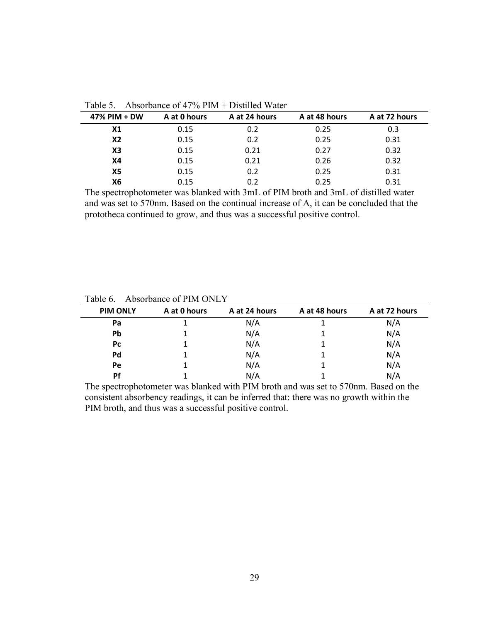| 47% PIM + DW   | A at 0 hours | A at 24 hours | A at 48 hours | A at 72 hours |
|----------------|--------------|---------------|---------------|---------------|
| X <sub>1</sub> | 0.15         | 0.2           | 0.25          | 0.3           |
| X2             | 0.15         | 0.2           | 0.25          | 0.31          |
| X3             | 0.15         | 0.21          | 0.27          | 0.32          |
| <b>X4</b>      | 0.15         | 0.21          | 0.26          | 0.32          |
| <b>X5</b>      | 0.15         | 0.2           | 0.25          | 0.31          |
| Х6             | 0.15         | 0.2           | 0.25          | 0.31          |

Table 5. Absorbance of 47% PIM + Distilled Water

The spectrophotometer was blanked with 3mL of PIM broth and 3mL of distilled water and was set to 570nm. Based on the continual increase of A, it can be concluded that the prototheca continued to grow, and thus was a successful positive control.

| <b>PIM ONLY</b> | A at 0 hours | A at 24 hours | A at 48 hours | A at 72 hours |
|-----------------|--------------|---------------|---------------|---------------|
| Pa              |              | N/A           |               | N/A           |
| Pb              |              | N/A           |               | N/A           |
| Pc              |              | N/A           |               | N/A           |
| Pd              |              | N/A           |               | N/A           |
| Pe              |              | N/A           |               | N/A           |
| Pf              |              | N/A           |               | N/A           |

Table 6. Absorbance of PIM ONLY

The spectrophotometer was blanked with PIM broth and was set to 570nm. Based on the consistent absorbency readings, it can be inferred that: there was no growth within the PIM broth, and thus was a successful positive control.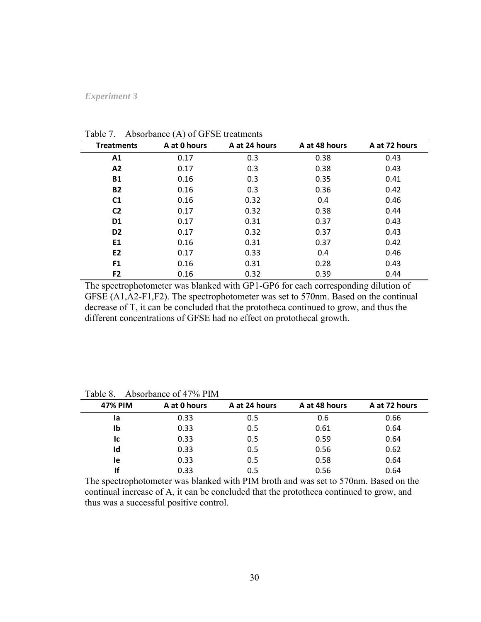## *Experiment 3*

| <b>Treatments</b> | $(2 - 1)$<br>A at 0 hours | A at 24 hours | A at 48 hours | A at 72 hours |
|-------------------|---------------------------|---------------|---------------|---------------|
| A1                | 0.17                      | 0.3           | 0.38          | 0.43          |
| A2                | 0.17                      | 0.3           | 0.38          | 0.43          |
| <b>B1</b>         | 0.16                      | 0.3           | 0.35          | 0.41          |
| <b>B2</b>         | 0.16                      | 0.3           | 0.36          | 0.42          |
| C <sub>1</sub>    | 0.16                      | 0.32          | 0.4           | 0.46          |
| C <sub>2</sub>    | 0.17                      | 0.32          | 0.38          | 0.44          |
| D <sub>1</sub>    | 0.17                      | 0.31          | 0.37          | 0.43          |
| D <sub>2</sub>    | 0.17                      | 0.32          | 0.37          | 0.43          |
| E1                | 0.16                      | 0.31          | 0.37          | 0.42          |
| E <sub>2</sub>    | 0.17                      | 0.33          | 0.4           | 0.46          |
| F <sub>1</sub>    | 0.16                      | 0.31          | 0.28          | 0.43          |
| F <sub>2</sub>    | 0.16                      | 0.32          | 0.39          | 0.44          |

Table 7. Absorbance (A) of GFSE treatments

The spectrophotometer was blanked with GP1-GP6 for each corresponding dilution of GFSE (A1,A2-F1,F2). The spectrophotometer was set to 570nm. Based on the continual decrease of T, it can be concluded that the prototheca continued to grow, and thus the different concentrations of GFSE had no effect on protothecal growth.

| <b>47% PIM</b> | A at 0 hours | A at 24 hours | A at 48 hours | A at 72 hours |
|----------------|--------------|---------------|---------------|---------------|
| la             | 0.33         | 0.5           | 0.6           | 0.66          |
| Ib             | 0.33         | 0.5           | 0.61          | 0.64          |
| Iс             | 0.33         | 0.5           | 0.59          | 0.64          |
| Id             | 0.33         | 0.5           | 0.56          | 0.62          |
| <b>le</b>      | 0.33         | 0.5           | 0.58          | 0.64          |
| If             | 0.33         | 0.5           | 0.56          | 0.64          |

Table 8. Absorbance of 47% PIM

The spectrophotometer was blanked with PIM broth and was set to 570nm. Based on the continual increase of A, it can be concluded that the prototheca continued to grow, and thus was a successful positive control.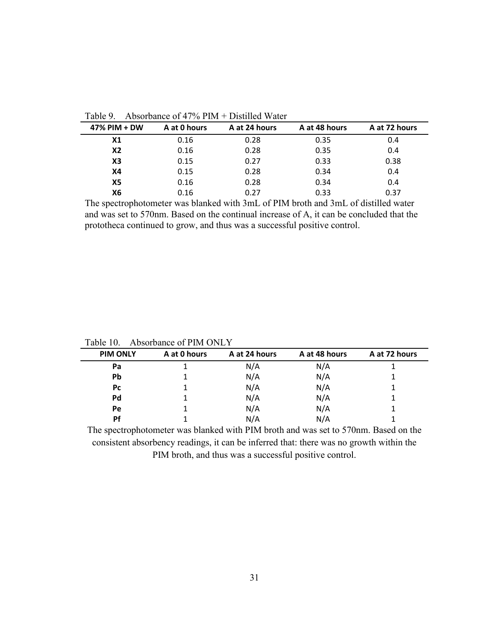| 47% PIM + DW   | A at 0 hours | A at 24 hours | A at 48 hours | A at 72 hours |
|----------------|--------------|---------------|---------------|---------------|
| X <sub>1</sub> | 0.16         | 0.28          | 0.35          | 0.4           |
| X2             | 0.16         | 0.28          | 0.35          | 0.4           |
| X3             | 0.15         | 0.27          | 0.33          | 0.38          |
| <b>X4</b>      | 0.15         | 0.28          | 0.34          | 0.4           |
| X5             | 0.16         | 0.28          | 0.34          | 0.4           |
| X6             | 0.16         | 0.27          | 0.33          | 0.37          |

Table 9. Absorbance of 47% PIM + Distilled Water

The spectrophotometer was blanked with 3mL of PIM broth and 3mL of distilled water and was set to 570nm. Based on the continual increase of A, it can be concluded that the prototheca continued to grow, and thus was a successful positive control.

| <b>PIM ONLY</b> | A at 0 hours | A at 24 hours | A at 48 hours | A at 72 hours |
|-----------------|--------------|---------------|---------------|---------------|
| Pa              |              | N/A           | N/A           |               |
| Pb              |              | N/A           | N/A           |               |
| <b>Pc</b>       |              | N/A           | N/A           |               |
| Pd              |              | N/A           | N/A           |               |
| <b>Pe</b>       |              | N/A           | N/A           |               |
| Pf              |              | N/A           | N/A           |               |

Table 10. Absorbance of PIM ONLY

The spectrophotometer was blanked with PIM broth and was set to 570nm. Based on the consistent absorbency readings, it can be inferred that: there was no growth within the PIM broth, and thus was a successful positive control.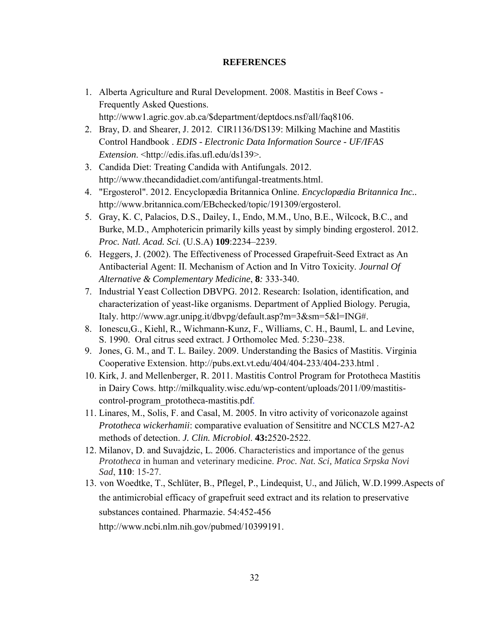## **REFERENCES**

- 1. Alberta Agriculture and Rural Development. 2008. Mastitis in Beef Cows Frequently Asked Questions. http://www1.agric.gov.ab.ca/\$department/deptdocs.nsf/all/faq8106.
- 2. Bray, D. and Shearer, J. 2012. CIR1136/DS139: Milking Machine and Mastitis Control Handbook . *EDIS - Electronic Data Information Source - UF/IFAS Extension*. <http://edis.ifas.ufl.edu/ds139>.
- 3. Candida Diet: Treating Candida with Antifungals. 2012. http://www.thecandidadiet.com/antifungal-treatments.html.
- 4. "Ergosterol". 2012. Encyclopædia Britannica Online. *Encyclopædia Britannica Inc..* http://www.britannica.com/EBchecked/topic/191309/ergosterol.
- 5. Gray, K. C, Palacios, D.S., Dailey, I., Endo, M.M., Uno, B.E., Wilcock, B.C., and Burke, M.D., Amphotericin primarily kills yeast by simply binding ergosterol. 2012. *Proc. Natl. Acad. Sci.* (U.S.A) **109**:2234–2239.
- 6. Heggers, J. (2002). The Effectiveness of Processed Grapefruit-Seed Extract as An Antibacterial Agent: II. Mechanism of Action and In Vitro Toxicity. *Journal Of Alternative & Complementary Medicine*, **8***:* 333-340.
- 7. Industrial Yeast Collection DBVPG. 2012. Research: Isolation, identification, and characterization of yeast-like organisms. Department of Applied Biology. Perugia, Italy. http://www.agr.unipg.it/dbvpg/default.asp?m=3&sm=5&l=ING#.
- 8. Ionescu,G., Kiehl, R., Wichmann-Kunz, F., Williams, C. H., Bauml, L. and Levine, S. 1990. Oral citrus seed extract. J Orthomolec Med. 5:230–238.
- 9. Jones, G. M., and T. L. Bailey. 2009. Understanding the Basics of Mastitis. Virginia Cooperative Extension. http://pubs.ext.vt.edu/404/404-233/404-233.html .
- 10. Kirk, J. and Mellenberger, R. 2011. Mastitis Control Program for Prototheca Mastitis in Dairy Cows. http://milkquality.wisc.edu/wp-content/uploads/2011/09/mastitiscontrol-program\_prototheca-mastitis.pdf.
- 11. Linares, M., Solis, F. and Casal, M. 2005. In vitro activity of voriconazole against *Prototheca wickerhamii*: comparative evaluation of Sensititre and NCCLS M27-A2 methods of detection. *J. Clin. Microbiol*. **43:**2520-2522.
- 12. Milanov, D. and Suvajdzic, L. 2006. Characteristics and importance of the genus *Prototheca* in human and veterinary medicine. *Proc. Nat. Sci, Matica Srpska Novi Sad*, **110**: 15-27.
- 13. von Woedtke, T., Schlüter, B., Pflegel, P., Lindequist, U., and Jülich, W.D.1999.Aspects of the antimicrobial efficacy of grapefruit seed extract and its relation to preservative substances contained. Pharmazie. 54:452-456

http://www.ncbi.nlm.nih.gov/pubmed/10399191.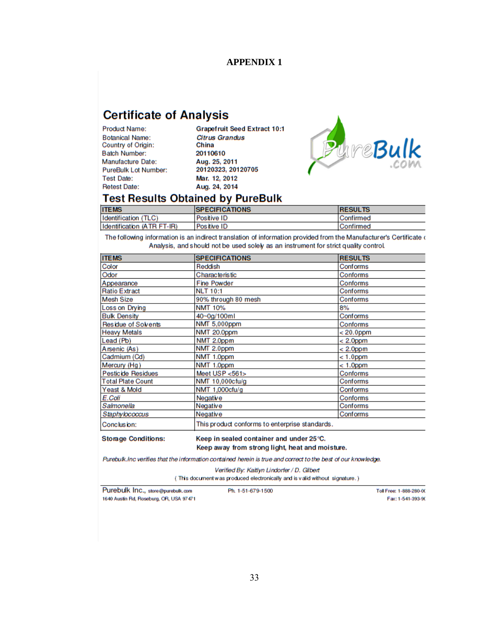## **APPENDIX 1**

# **Certificate of Analysis**

**Product Name: Botanical Name:** Country of Origin: **Batch Number:** Manufacture Date: **PureBulk Lot Number: Test Date: Retest Date:** 

**Grapefruit Seed Extract 10:1 Citrus Grandus** China 20110610 Aug. 25, 2011 20120323, 20120705 Mar. 12, 2012 Aug. 24, 2014



## **Test Results Obtained by PureBulk**

| <b>ITEMS</b>               | <b>SPECIFICATIONS</b> | <b>RESULTS</b> |
|----------------------------|-----------------------|----------------|
| Identification (TLC)       | Positive ID           | Confirmed      |
| Identification (ATR FT-IR) | Positive ID           | Confirmed      |

The following information is an indirect translation of information provided from the Manufacturer's Certificate ( Analysis, and should not be used solely as an instrument for strict quality control.

| <b>ITEMS</b>               | <b>SPECIFICATIONS</b>                          | <b>RESULTS</b> |
|----------------------------|------------------------------------------------|----------------|
| Color                      | Reddish                                        | Conforms       |
| Odor                       | <b>Characteristic</b>                          | Conforms       |
| Appearance                 | <b>Fine Powder</b>                             | Conforms       |
| <b>Ratio Extract</b>       | <b>NLT 10:1</b>                                | Conforms       |
| <b>Mesh Size</b>           | 90% through 80 mesh                            | Conforms       |
| Loss on Drying             | <b>NMT 10%</b>                                 | 8%             |
| <b>Bulk Density</b>        | 40~0g/100ml                                    | Conforms       |
| Residue of Solvents        | NMT 5,000ppm                                   | Conforms       |
| <b>Heavy Metals</b>        | NMT 20.0ppm                                    | $< 20.0$ ppm   |
| Lead (Pb)                  | NMT 2.0ppm                                     | $< 2.0$ ppm    |
| Arsenic (As)               | NMT 2.0ppm                                     | $< 2.0$ ppm    |
| Cadmium (Cd)               | NMT 1.0ppm                                     | $< 1.0$ ppm    |
| Mercury (Hg)               | NMT 1.0ppm                                     | $< 1.0$ ppm    |
| Pesticide Residues         | Meet USP <561>                                 | Conforms       |
| <b>Total Plate Count</b>   | NMT 10,000cfu/g                                | Conforms       |
| Yeast & Mold               | NMT 1,000cfu/g                                 | Conforms       |
| E.Coli                     | Negative                                       | Conforms       |
| Salmonella                 | Negative                                       | Conforms       |
| Staphylococcus             | Negative                                       | Conforms       |
| Conclusion:                | This product conforms to enterprise standards. |                |
| <b>Storage Conditions:</b> | Keep in sealed container and under 25 °C.      |                |

Keep in sealed container and under 25 °C. Keep away from strong light, heat and moisture.

Purebulk.Inc verifies that the information contained herein is true and correct to the best of our knowledge.

Verified By: Kaitlyn Lindorfer / D. Gilbert (This document was produced electronically and is valid without signature.)

Purebulk Inc., store@purebulk.com 1640 Austin Rd, Roseburg, OR, USA 97471

Ph. 1-51-679-1500

Toll Free: 1-888-280-00 Fax: 1-541-393-90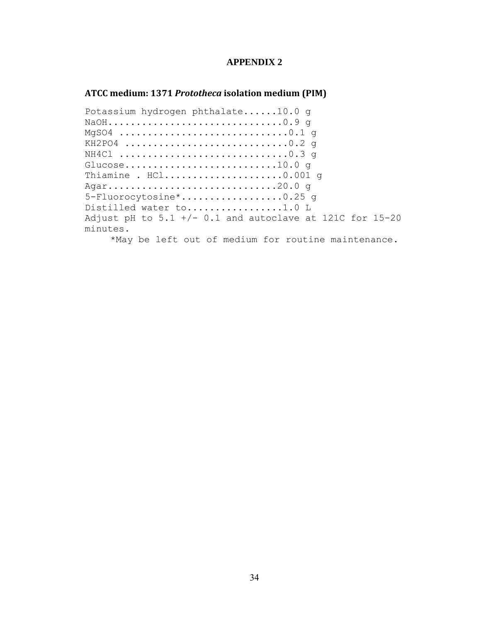## **APPENDIX 2**

### **ATCC medium: 1371** *Prototheca* **isolation medium (PIM)**

Potassium hydrogen phthalate......10.0 g NaOH...............................0.9 g MgSO4 ..............................0.1 g KH2PO4 ................................0.2 q NH4Cl ..............................0.3 g Glucose...........................10.0 g Thiamine . HCl.......................0.001 q Agar..............................20.0 g 5-Fluorocytosine\*..................0.25 g Distilled water to.................1.0 L Adjust pH to  $5.1 +/- 0.1$  and autoclave at 121C for 15-20 minutes.

\*May be left out of medium for routine maintenance.